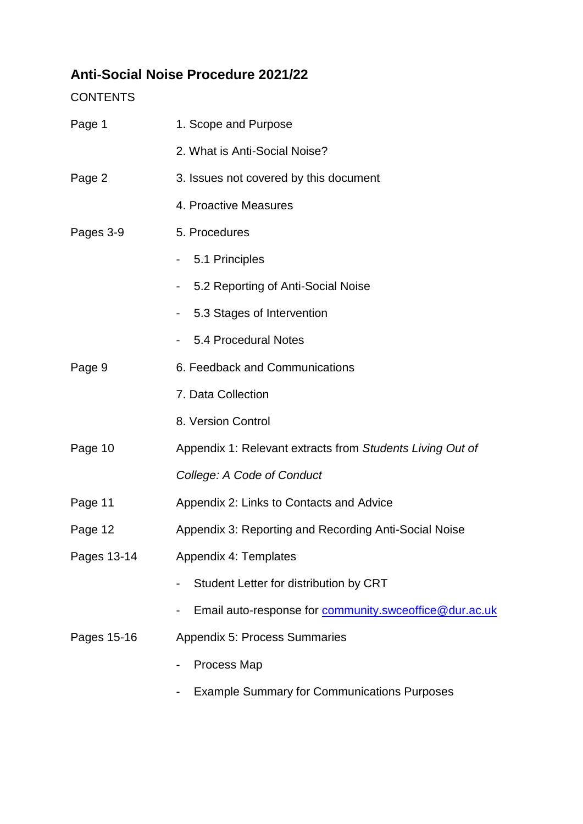# **Anti-Social Noise Procedure 2021/22**

**CONTENTS** 

| Page 1      | 1. Scope and Purpose                                      |  |  |
|-------------|-----------------------------------------------------------|--|--|
|             | 2. What is Anti-Social Noise?                             |  |  |
| Page 2      | 3. Issues not covered by this document                    |  |  |
|             | 4. Proactive Measures                                     |  |  |
| Pages 3-9   | 5. Procedures                                             |  |  |
|             | 5.1 Principles                                            |  |  |
|             | 5.2 Reporting of Anti-Social Noise                        |  |  |
|             | 5.3 Stages of Intervention                                |  |  |
|             | 5.4 Procedural Notes                                      |  |  |
| Page 9      | 6. Feedback and Communications                            |  |  |
|             | 7. Data Collection                                        |  |  |
|             | 8. Version Control                                        |  |  |
| Page 10     | Appendix 1: Relevant extracts from Students Living Out of |  |  |
|             | College: A Code of Conduct                                |  |  |
| Page 11     | Appendix 2: Links to Contacts and Advice                  |  |  |
| Page 12     | Appendix 3: Reporting and Recording Anti-Social Noise     |  |  |
| Pages 13-14 | Appendix 4: Templates                                     |  |  |
|             | Student Letter for distribution by CRT                    |  |  |
|             | Email auto-response for community.swceoffice@dur.ac.uk    |  |  |
| Pages 15-16 | <b>Appendix 5: Process Summaries</b>                      |  |  |
|             | Process Map                                               |  |  |
|             | <b>Example Summary for Communications Purposes</b>        |  |  |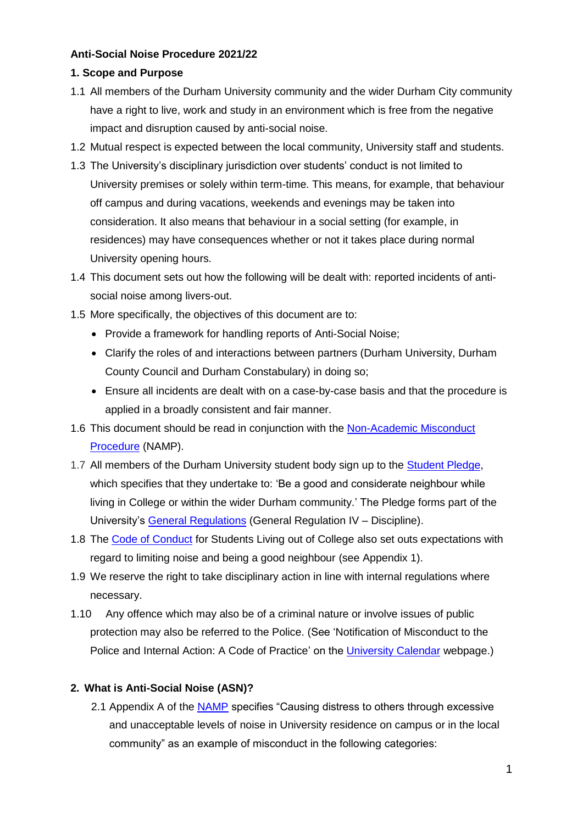### **Anti-Social Noise Procedure 2021/22**

### **1. Scope and Purpose**

- 1.1 All members of the Durham University community and the wider Durham City community have a right to live, work and study in an environment which is free from the negative impact and disruption caused by anti-social noise.
- 1.2 Mutual respect is expected between the local community, University staff and students.
- 1.3 The University's disciplinary jurisdiction over students' conduct is not limited to University premises or solely within term-time. This means, for example, that behaviour off campus and during vacations, weekends and evenings may be taken into consideration. It also means that behaviour in a social setting (for example, in residences) may have consequences whether or not it takes place during normal University opening hours.
- 1.4 This document sets out how the following will be dealt with: reported incidents of antisocial noise among livers-out.
- 1.5 More specifically, the objectives of this document are to:
	- Provide a framework for handling reports of Anti-Social Noise;
	- Clarify the roles of and interactions between partners (Durham University, Durham County Council and Durham Constabulary) in doing so;
	- Ensure all incidents are dealt with on a case-by-case basis and that the procedure is applied in a broadly consistent and fair manner.
- 1.6 This document should be read in conjunction with the [Non-Academic Misconduct](https://www.dur.ac.uk/colleges.se.division/studentsupportdirect/conductteam/nonacademicmisconduc/)  [Procedure](https://www.dur.ac.uk/colleges.se.division/studentsupportdirect/conductteam/nonacademicmisconduc/) (NAMP).
- 1.7 All members of the Durham University student body sign up to the [Student Pledge,](https://www.durham.ac.uk/colleges-and-student-experience/colleges/student-pledge/) which specifies that they undertake to: 'Be a good and considerate neighbour while living in College or within the wider Durham community.' The Pledge forms part of the University's [General Regulations](https://www.dur.ac.uk/university.calendar/volumei/general_regulations/) (General Regulation IV – Discipline).
- 1.8 The [Code of Conduct](https://www.dur.ac.uk/university.calendar/volumei/codes_of_practice/) for Students Living out of College also set outs expectations with regard to limiting noise and being a good neighbour (see Appendix 1).
- 1.9 We reserve the right to take disciplinary action in line with internal regulations where necessary.
- 1.10 Any offence which may also be of a criminal nature or involve issues of public protection may also be referred to the Police. (See 'Notification of Misconduct to the Police and Internal Action: A Code of Practice' on the [University Calendar](https://www.dur.ac.uk/university.calendar/volumei/codes_of_practice/) webpage.)

## **2. What is Anti-Social Noise (ASN)?**

2.1 Appendix A of the [NAMP](https://www.dur.ac.uk/colleges.se.division/studentsupportdirect/conductteam/nonacademicmisconduc/) specifies "Causing distress to others through excessive and unacceptable levels of noise in University residence on campus or in the local community" as an example of misconduct in the following categories: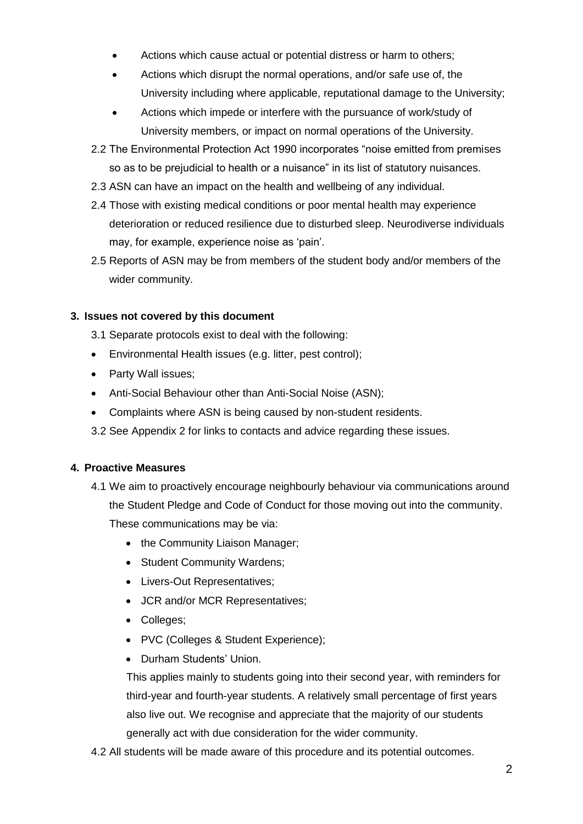- Actions which cause actual or potential distress or harm to others;
- Actions which disrupt the normal operations, and/or safe use of, the University including where applicable, reputational damage to the University;
- Actions which impede or interfere with the pursuance of work/study of University members, or impact on normal operations of the University.
- 2.2 The Environmental Protection Act 1990 incorporates "noise emitted from premises so as to be prejudicial to health or a nuisance" in its list of statutory nuisances.
- 2.3 ASN can have an impact on the health and wellbeing of any individual.
- 2.4 Those with existing medical conditions or poor mental health may experience deterioration or reduced resilience due to disturbed sleep. Neurodiverse individuals may, for example, experience noise as 'pain'.
- 2.5 Reports of ASN may be from members of the student body and/or members of the wider community.

## **3. Issues not covered by this document**

- 3.1 Separate protocols exist to deal with the following:
- Environmental Health issues (e.g. litter, pest control);
- Party Wall issues;
- Anti-Social Behaviour other than Anti-Social Noise (ASN);
- Complaints where ASN is being caused by non-student residents.
- 3.2 See Appendix 2 for links to contacts and advice regarding these issues.

### **4. Proactive Measures**

- 4.1 We aim to proactively encourage neighbourly behaviour via communications around the Student Pledge and Code of Conduct for those moving out into the community. These communications may be via:
	- the Community Liaison Manager;
	- Student Community Wardens;
	- Livers-Out Representatives;
	- JCR and/or MCR Representatives;
	- Colleges;
	- PVC (Colleges & Student Experience);
	- Durham Students' Union.

This applies mainly to students going into their second year, with reminders for third-year and fourth-year students. A relatively small percentage of first years also live out. We recognise and appreciate that the majority of our students generally act with due consideration for the wider community.

4.2 All students will be made aware of this procedure and its potential outcomes.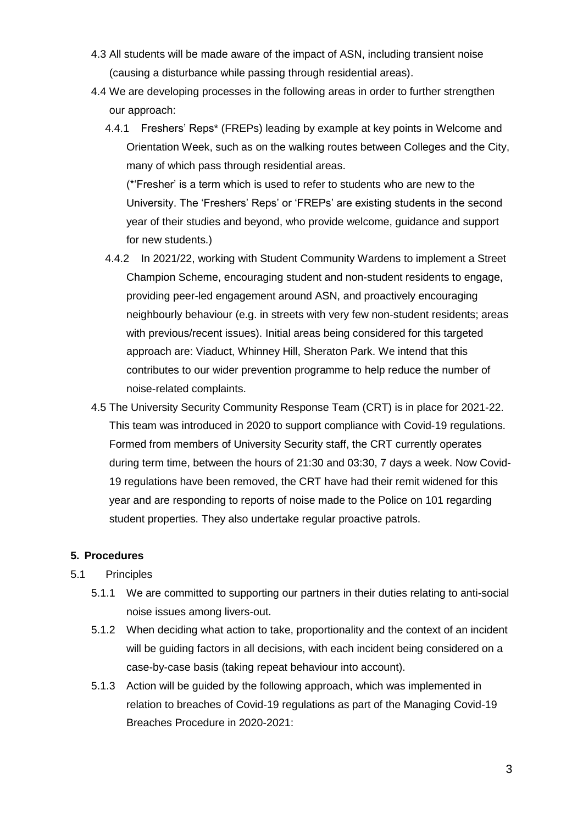- 4.3 All students will be made aware of the impact of ASN, including transient noise (causing a disturbance while passing through residential areas).
- 4.4 We are developing processes in the following areas in order to further strengthen our approach:
	- 4.4.1 Freshers' Reps\* (FREPs) leading by example at key points in Welcome and Orientation Week, such as on the walking routes between Colleges and the City, many of which pass through residential areas.

(\*'Fresher' is a term which is used to refer to students who are new to the University. The 'Freshers' Reps' or 'FREPs' are existing students in the second year of their studies and beyond, who provide welcome, guidance and support for new students.)

- 4.4.2 In 2021/22, working with Student Community Wardens to implement a Street Champion Scheme, encouraging student and non-student residents to engage, providing peer-led engagement around ASN, and proactively encouraging neighbourly behaviour (e.g. in streets with very few non-student residents; areas with previous/recent issues). Initial areas being considered for this targeted approach are: Viaduct, Whinney Hill, Sheraton Park. We intend that this contributes to our wider prevention programme to help reduce the number of noise-related complaints.
- 4.5 The University Security Community Response Team (CRT) is in place for 2021-22. This team was introduced in 2020 to support compliance with Covid-19 regulations. Formed from members of University Security staff, the CRT currently operates during term time, between the hours of 21:30 and 03:30, 7 days a week. Now Covid-19 regulations have been removed, the CRT have had their remit widened for this year and are responding to reports of noise made to the Police on 101 regarding student properties. They also undertake regular proactive patrols.

## **5. Procedures**

## 5.1 Principles

- 5.1.1 We are committed to supporting our partners in their duties relating to anti-social noise issues among livers-out.
- 5.1.2 When deciding what action to take, proportionality and the context of an incident will be guiding factors in all decisions, with each incident being considered on a case-by-case basis (taking repeat behaviour into account).
- 5.1.3 Action will be guided by the following approach, which was implemented in relation to breaches of Covid-19 regulations as part of the Managing Covid-19 Breaches Procedure in 2020-2021: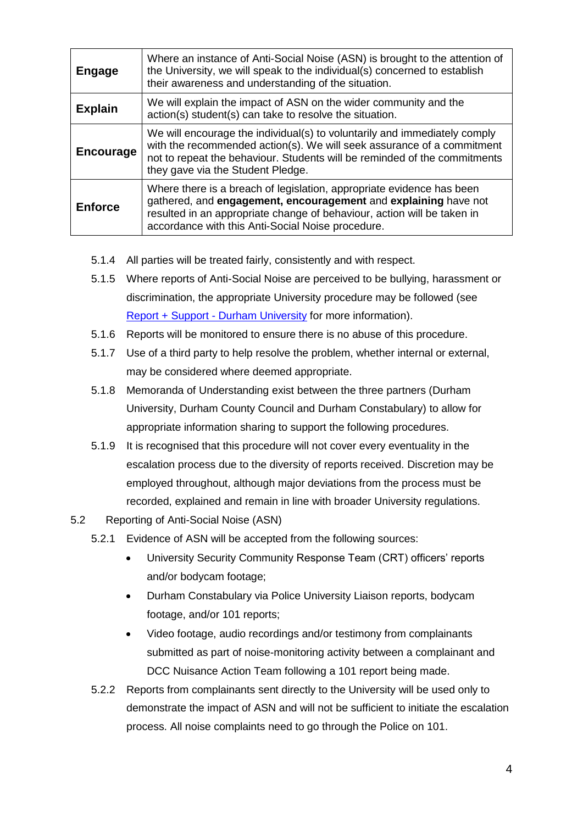| <b>Engage</b>  | Where an instance of Anti-Social Noise (ASN) is brought to the attention of<br>the University, we will speak to the individual(s) concerned to establish<br>their awareness and understanding of the situation.                                                          |  |
|----------------|--------------------------------------------------------------------------------------------------------------------------------------------------------------------------------------------------------------------------------------------------------------------------|--|
| <b>Explain</b> | We will explain the impact of ASN on the wider community and the<br>action(s) student(s) can take to resolve the situation.                                                                                                                                              |  |
| Encourage      | We will encourage the individual(s) to voluntarily and immediately comply<br>with the recommended action(s). We will seek assurance of a commitment<br>not to repeat the behaviour. Students will be reminded of the commitments<br>they gave via the Student Pledge.    |  |
| <b>Enforce</b> | Where there is a breach of legislation, appropriate evidence has been<br>gathered, and engagement, encouragement and explaining have not<br>resulted in an appropriate change of behaviour, action will be taken in<br>accordance with this Anti-Social Noise procedure. |  |

- 5.1.4 All parties will be treated fairly, consistently and with respect.
- 5.1.5 Where reports of Anti-Social Noise are perceived to be bullying, harassment or discrimination, the appropriate University procedure may be followed (see [Report + Support -](https://reportandsupport.durham.ac.uk/) Durham University for more information).
- 5.1.6 Reports will be monitored to ensure there is no abuse of this procedure.
- 5.1.7 Use of a third party to help resolve the problem, whether internal or external, may be considered where deemed appropriate.
- 5.1.8 Memoranda of Understanding exist between the three partners (Durham University, Durham County Council and Durham Constabulary) to allow for appropriate information sharing to support the following procedures.
- 5.1.9 It is recognised that this procedure will not cover every eventuality in the escalation process due to the diversity of reports received. Discretion may be employed throughout, although major deviations from the process must be recorded, explained and remain in line with broader University regulations.
- 5.2 Reporting of Anti-Social Noise (ASN)
	- 5.2.1 Evidence of ASN will be accepted from the following sources:
		- University Security Community Response Team (CRT) officers' reports and/or bodycam footage;
		- Durham Constabulary via Police University Liaison reports, bodycam footage, and/or 101 reports;
		- Video footage, audio recordings and/or testimony from complainants submitted as part of noise-monitoring activity between a complainant and DCC Nuisance Action Team following a 101 report being made.
	- 5.2.2 Reports from complainants sent directly to the University will be used only to demonstrate the impact of ASN and will not be sufficient to initiate the escalation process. All noise complaints need to go through the Police on 101.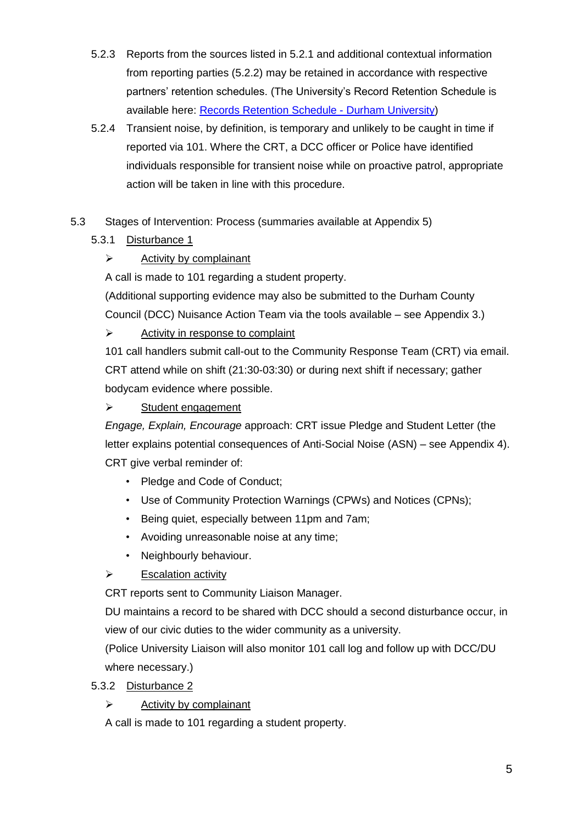- 5.2.3 Reports from the sources listed in 5.2.1 and additional contextual information from reporting parties (5.2.2) may be retained in accordance with respective partners' retention schedules. (The University's Record Retention Schedule is available here: [Records Retention Schedule -](https://www.durham.ac.uk/about-us/governance/information-governance/records-information-management/retention-schedule/) Durham University)
- 5.2.4 Transient noise, by definition, is temporary and unlikely to be caught in time if reported via 101. Where the CRT, a DCC officer or Police have identified individuals responsible for transient noise while on proactive patrol, appropriate action will be taken in line with this procedure.

# 5.3 Stages of Intervention: Process (summaries available at Appendix 5)

# 5.3.1 Disturbance 1

# $\triangleright$  Activity by complainant

A call is made to 101 regarding a student property.

(Additional supporting evidence may also be submitted to the Durham County Council (DCC) Nuisance Action Team via the tools available – see Appendix 3.)

# $\triangleright$  Activity in response to complaint

101 call handlers submit call-out to the Community Response Team (CRT) via email. CRT attend while on shift (21:30-03:30) or during next shift if necessary; gather bodycam evidence where possible.

# $\triangleright$  Student engagement

*Engage, Explain, Encourage* approach: CRT issue Pledge and Student Letter (the letter explains potential consequences of Anti-Social Noise (ASN) – see Appendix 4). CRT give verbal reminder of:

- Pledge and Code of Conduct;
- Use of Community Protection Warnings (CPWs) and Notices (CPNs);
- Being quiet, especially between 11pm and 7am;
- Avoiding unreasonable noise at any time;
- Neighbourly behaviour.
- $\triangleright$  Escalation activity

CRT reports sent to Community Liaison Manager.

DU maintains a record to be shared with DCC should a second disturbance occur, in view of our civic duties to the wider community as a university.

(Police University Liaison will also monitor 101 call log and follow up with DCC/DU where necessary.)

# 5.3.2 Disturbance 2

 $\triangleright$  Activity by complainant

A call is made to 101 regarding a student property.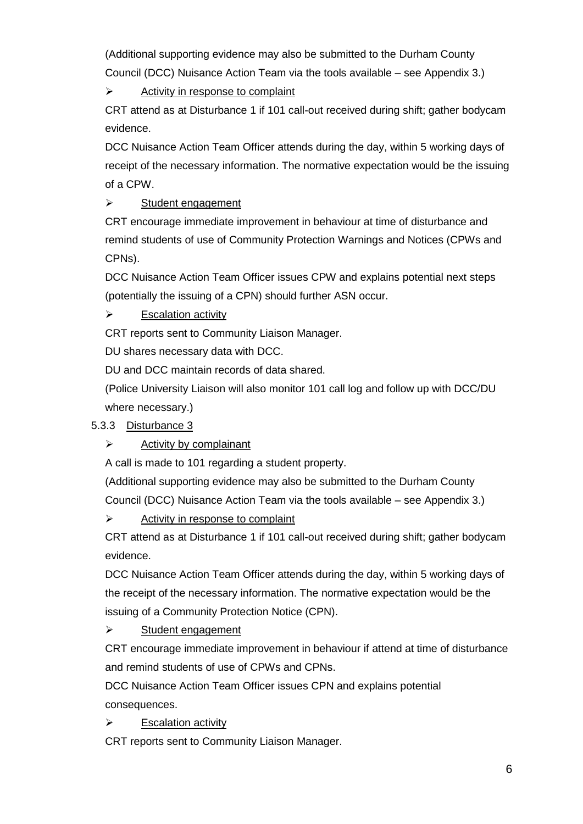(Additional supporting evidence may also be submitted to the Durham County Council (DCC) Nuisance Action Team via the tools available – see Appendix 3.)

 $\triangleright$  Activity in response to complaint

CRT attend as at Disturbance 1 if 101 call-out received during shift; gather bodycam evidence.

DCC Nuisance Action Team Officer attends during the day, within 5 working days of receipt of the necessary information. The normative expectation would be the issuing of a CPW.

# $\triangleright$  Student engagement

CRT encourage immediate improvement in behaviour at time of disturbance and remind students of use of Community Protection Warnings and Notices (CPWs and CPNs).

DCC Nuisance Action Team Officer issues CPW and explains potential next steps (potentially the issuing of a CPN) should further ASN occur.

# $\triangleright$  Escalation activity

CRT reports sent to Community Liaison Manager.

DU shares necessary data with DCC.

DU and DCC maintain records of data shared.

(Police University Liaison will also monitor 101 call log and follow up with DCC/DU where necessary.)

# 5.3.3 Disturbance 3

# $\triangleright$  Activity by complainant

A call is made to 101 regarding a student property.

(Additional supporting evidence may also be submitted to the Durham County Council (DCC) Nuisance Action Team via the tools available – see Appendix 3.)

 $\triangleright$  Activity in response to complaint

CRT attend as at Disturbance 1 if 101 call-out received during shift; gather bodycam evidence.

DCC Nuisance Action Team Officer attends during the day, within 5 working days of the receipt of the necessary information. The normative expectation would be the issuing of a Community Protection Notice (CPN).

# $\triangleright$  Student engagement

CRT encourage immediate improvement in behaviour if attend at time of disturbance and remind students of use of CPWs and CPNs.

DCC Nuisance Action Team Officer issues CPN and explains potential consequences.

Escalation activity

CRT reports sent to Community Liaison Manager.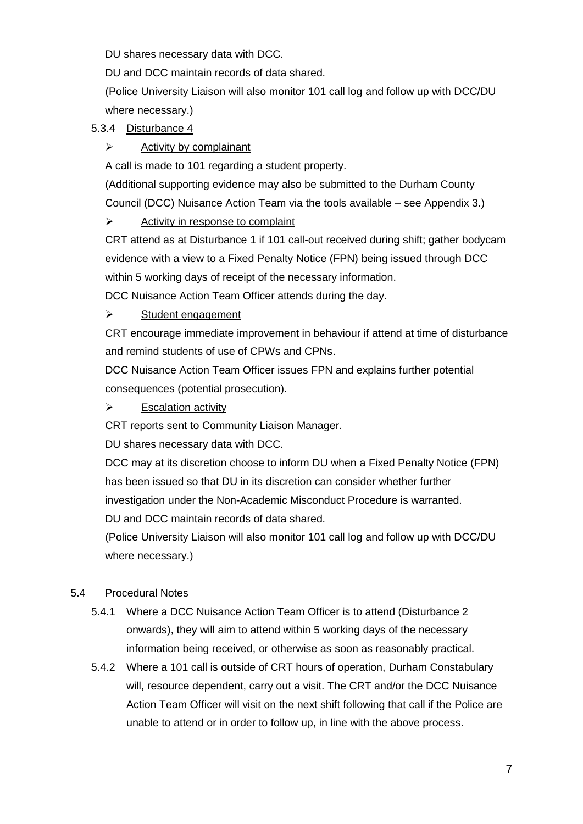DU shares necessary data with DCC.

DU and DCC maintain records of data shared.

(Police University Liaison will also monitor 101 call log and follow up with DCC/DU where necessary.)

# 5.3.4 Disturbance 4

# $\triangleright$  Activity by complainant

A call is made to 101 regarding a student property.

(Additional supporting evidence may also be submitted to the Durham County

Council (DCC) Nuisance Action Team via the tools available – see Appendix 3.)

# $\triangleright$  Activity in response to complaint

CRT attend as at Disturbance 1 if 101 call-out received during shift; gather bodycam evidence with a view to a Fixed Penalty Notice (FPN) being issued through DCC within 5 working days of receipt of the necessary information.

DCC Nuisance Action Team Officer attends during the day.

# $\triangleright$  Student engagement

CRT encourage immediate improvement in behaviour if attend at time of disturbance and remind students of use of CPWs and CPNs.

DCC Nuisance Action Team Officer issues FPN and explains further potential consequences (potential prosecution).

# $\triangleright$  Escalation activity

CRT reports sent to Community Liaison Manager.

DU shares necessary data with DCC.

DCC may at its discretion choose to inform DU when a Fixed Penalty Notice (FPN) has been issued so that DU in its discretion can consider whether further investigation under the Non-Academic Misconduct Procedure is warranted.

DU and DCC maintain records of data shared.

(Police University Liaison will also monitor 101 call log and follow up with DCC/DU where necessary.)

# 5.4 Procedural Notes

- 5.4.1 Where a DCC Nuisance Action Team Officer is to attend (Disturbance 2 onwards), they will aim to attend within 5 working days of the necessary information being received, or otherwise as soon as reasonably practical.
- 5.4.2 Where a 101 call is outside of CRT hours of operation, Durham Constabulary will, resource dependent, carry out a visit. The CRT and/or the DCC Nuisance Action Team Officer will visit on the next shift following that call if the Police are unable to attend or in order to follow up, in line with the above process.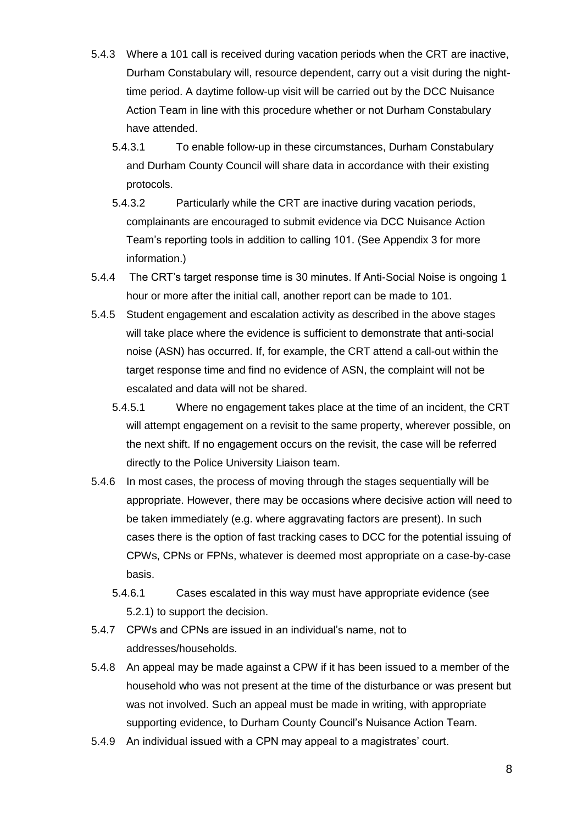- 5.4.3 Where a 101 call is received during vacation periods when the CRT are inactive, Durham Constabulary will, resource dependent, carry out a visit during the nighttime period. A daytime follow-up visit will be carried out by the DCC Nuisance Action Team in line with this procedure whether or not Durham Constabulary have attended.
	- 5.4.3.1 To enable follow-up in these circumstances, Durham Constabulary and Durham County Council will share data in accordance with their existing protocols.
	- 5.4.3.2 Particularly while the CRT are inactive during vacation periods, complainants are encouraged to submit evidence via DCC Nuisance Action Team's reporting tools in addition to calling 101. (See Appendix 3 for more information.)
- 5.4.4 The CRT's target response time is 30 minutes. If Anti-Social Noise is ongoing 1 hour or more after the initial call, another report can be made to 101.
- 5.4.5 Student engagement and escalation activity as described in the above stages will take place where the evidence is sufficient to demonstrate that anti-social noise (ASN) has occurred. If, for example, the CRT attend a call-out within the target response time and find no evidence of ASN, the complaint will not be escalated and data will not be shared.
	- 5.4.5.1 Where no engagement takes place at the time of an incident, the CRT will attempt engagement on a revisit to the same property, wherever possible, on the next shift. If no engagement occurs on the revisit, the case will be referred directly to the Police University Liaison team.
- 5.4.6 In most cases, the process of moving through the stages sequentially will be appropriate. However, there may be occasions where decisive action will need to be taken immediately (e.g. where aggravating factors are present). In such cases there is the option of fast tracking cases to DCC for the potential issuing of CPWs, CPNs or FPNs, whatever is deemed most appropriate on a case-by-case basis.
	- 5.4.6.1 Cases escalated in this way must have appropriate evidence (see 5.2.1) to support the decision.
- 5.4.7 CPWs and CPNs are issued in an individual's name, not to addresses/households.
- 5.4.8 An appeal may be made against a CPW if it has been issued to a member of the household who was not present at the time of the disturbance or was present but was not involved. Such an appeal must be made in writing, with appropriate supporting evidence, to Durham County Council's Nuisance Action Team.
- 5.4.9 An individual issued with a CPN may appeal to a magistrates' court.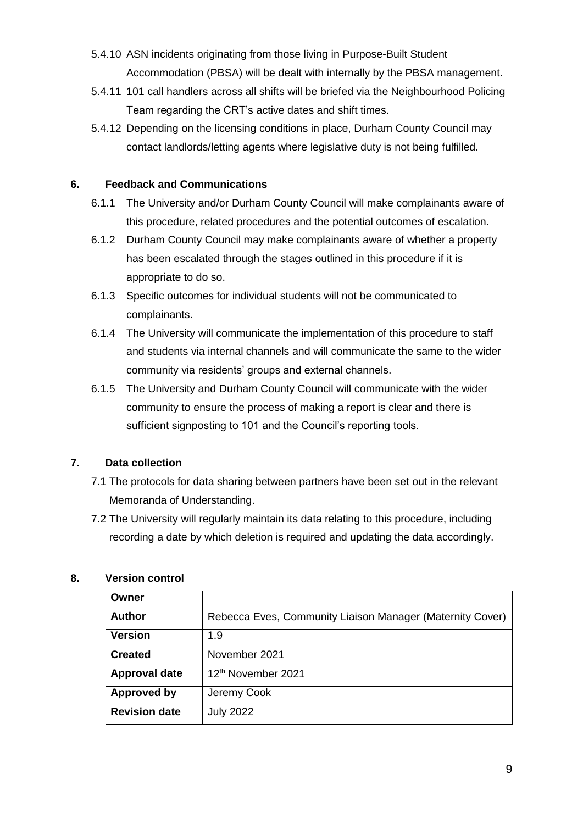- 5.4.10 ASN incidents originating from those living in Purpose-Built Student Accommodation (PBSA) will be dealt with internally by the PBSA management.
- 5.4.11 101 call handlers across all shifts will be briefed via the Neighbourhood Policing Team regarding the CRT's active dates and shift times.
- 5.4.12 Depending on the licensing conditions in place, Durham County Council may contact landlords/letting agents where legislative duty is not being fulfilled.

## **6. Feedback and Communications**

- 6.1.1 The University and/or Durham County Council will make complainants aware of this procedure, related procedures and the potential outcomes of escalation.
- 6.1.2 Durham County Council may make complainants aware of whether a property has been escalated through the stages outlined in this procedure if it is appropriate to do so.
- 6.1.3 Specific outcomes for individual students will not be communicated to complainants.
- 6.1.4 The University will communicate the implementation of this procedure to staff and students via internal channels and will communicate the same to the wider community via residents' groups and external channels.
- 6.1.5 The University and Durham County Council will communicate with the wider community to ensure the process of making a report is clear and there is sufficient signposting to 101 and the Council's reporting tools.

# **7. Data collection**

- 7.1 The protocols for data sharing between partners have been set out in the relevant Memoranda of Understanding.
- 7.2 The University will regularly maintain its data relating to this procedure, including recording a date by which deletion is required and updating the data accordingly.

## **8. Version control**

| Owner                |                                                           |  |  |
|----------------------|-----------------------------------------------------------|--|--|
| <b>Author</b>        | Rebecca Eves, Community Liaison Manager (Maternity Cover) |  |  |
| <b>Version</b>       | 1.9                                                       |  |  |
| <b>Created</b>       | November 2021                                             |  |  |
| <b>Approval date</b> | 12 <sup>th</sup> November 2021                            |  |  |
| Approved by          | Jeremy Cook                                               |  |  |
| <b>Revision date</b> | <b>July 2022</b>                                          |  |  |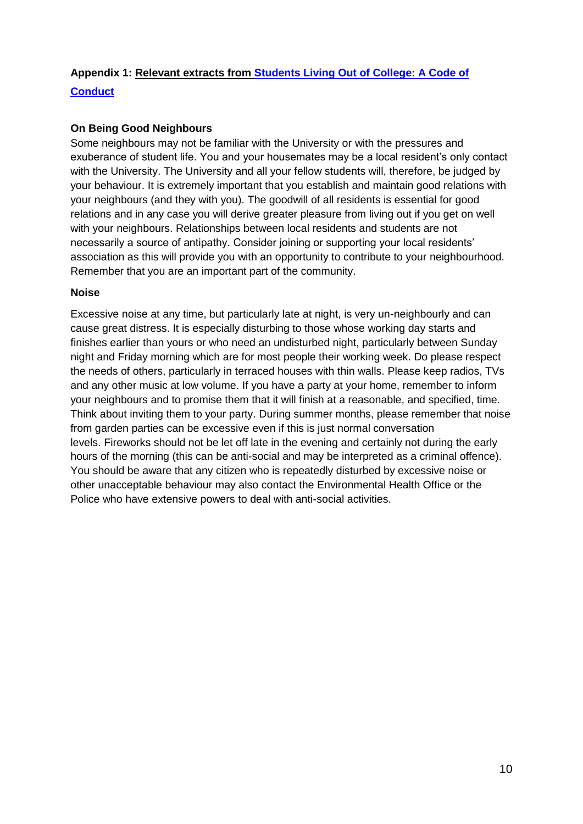# **Appendix 1: Relevant extracts from [Students Living Out of College: A Code of](https://www.dur.ac.uk/university.calendar/volumei/codes_of_practice/)  [Conduct](https://www.dur.ac.uk/university.calendar/volumei/codes_of_practice/)**

## **On Being Good Neighbours**

Some neighbours may not be familiar with the University or with the pressures and exuberance of student life. You and your housemates may be a local resident's only contact with the University. The University and all your fellow students will, therefore, be judged by your behaviour. It is extremely important that you establish and maintain good relations with your neighbours (and they with you). The goodwill of all residents is essential for good relations and in any case you will derive greater pleasure from living out if you get on well with your neighbours. Relationships between local residents and students are not necessarily a source of antipathy. Consider joining or supporting your local residents' association as this will provide you with an opportunity to contribute to your neighbourhood. Remember that you are an important part of the community.

### **Noise**

Excessive noise at any time, but particularly late at night, is very un-neighbourly and can cause great distress. It is especially disturbing to those whose working day starts and finishes earlier than yours or who need an undisturbed night, particularly between Sunday night and Friday morning which are for most people their working week. Do please respect the needs of others, particularly in terraced houses with thin walls. Please keep radios, TVs and any other music at low volume. If you have a party at your home, remember to inform your neighbours and to promise them that it will finish at a reasonable, and specified, time. Think about inviting them to your party. During summer months, please remember that noise from garden parties can be excessive even if this is just normal conversation levels. Fireworks should not be let off late in the evening and certainly not during the early hours of the morning (this can be anti-social and may be interpreted as a criminal offence). You should be aware that any citizen who is repeatedly disturbed by excessive noise or other unacceptable behaviour may also contact the Environmental Health Office or the Police who have extensive powers to deal with anti-social activities.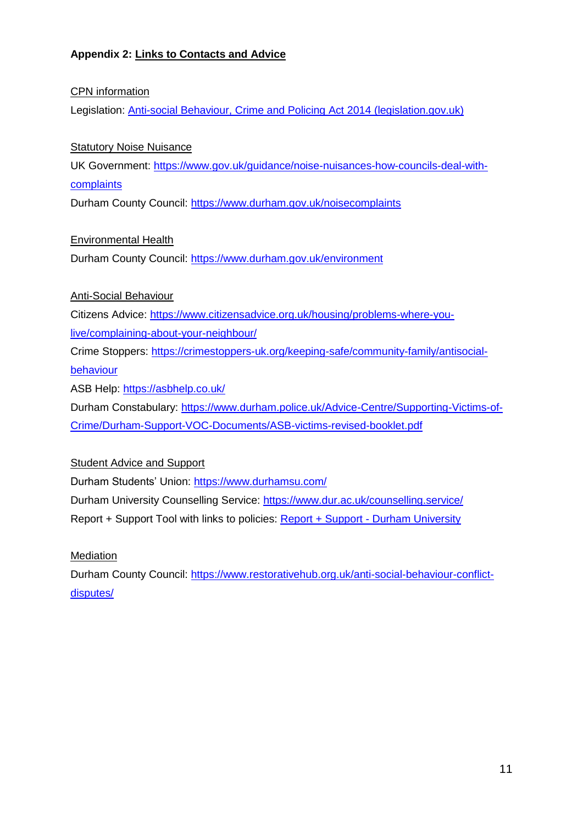# **Appendix 2: Links to Contacts and Advice**

## CPN information

Legislation: [Anti-social Behaviour, Crime and Policing Act 2014 \(legislation.gov.uk\)](https://www.legislation.gov.uk/ukpga/2014/12/part/4/chapter/1/crossheading/community-protection-notices/enacted)

## Statutory Noise Nuisance

UK Government: [https://www.gov.uk/guidance/noise-nuisances-how-councils-deal-with](https://www.gov.uk/guidance/noise-nuisances-how-councils-deal-with-complaints)[complaints](https://www.gov.uk/guidance/noise-nuisances-how-councils-deal-with-complaints)

Durham County Council: <https://www.durham.gov.uk/noisecomplaints>

Environmental Health

Durham County Council:<https://www.durham.gov.uk/environment>

## Anti-Social Behaviour

Citizens Advice: [https://www.citizensadvice.org.uk/housing/problems-where-you-](https://www.citizensadvice.org.uk/housing/problems-where-you-live/complaining-about-your-neighbour/)

[live/complaining-about-your-neighbour/](https://www.citizensadvice.org.uk/housing/problems-where-you-live/complaining-about-your-neighbour/)

Crime Stoppers: [https://crimestoppers-uk.org/keeping-safe/community-family/antisocial-](https://crimestoppers-uk.org/keeping-safe/community-family/antisocial-behaviour)

### [behaviour](https://crimestoppers-uk.org/keeping-safe/community-family/antisocial-behaviour)

ASB Help:<https://asbhelp.co.uk/>

Durham Constabulary: [https://www.durham.police.uk/Advice-Centre/Supporting-Victims-of-](https://www.durham.police.uk/Advice-Centre/Supporting-Victims-of-Crime/Durham-Support-VOC-Documents/ASB-victims-revised-booklet.pdf)[Crime/Durham-Support-VOC-Documents/ASB-victims-revised-booklet.pdf](https://www.durham.police.uk/Advice-Centre/Supporting-Victims-of-Crime/Durham-Support-VOC-Documents/ASB-victims-revised-booklet.pdf)

Student Advice and Support

Durham Students' Union: <https://www.durhamsu.com/>

Durham University Counselling Service:<https://www.dur.ac.uk/counselling.service/> Report + Support Tool with links to policies: [Report + Support -](https://reportandsupport.durham.ac.uk/) Durham University

## **Mediation**

Durham County Council: [https://www.restorativehub.org.uk/anti-social-behaviour-conflict](https://www.restorativehub.org.uk/anti-social-behaviour-conflict-disputes/)[disputes/](https://www.restorativehub.org.uk/anti-social-behaviour-conflict-disputes/)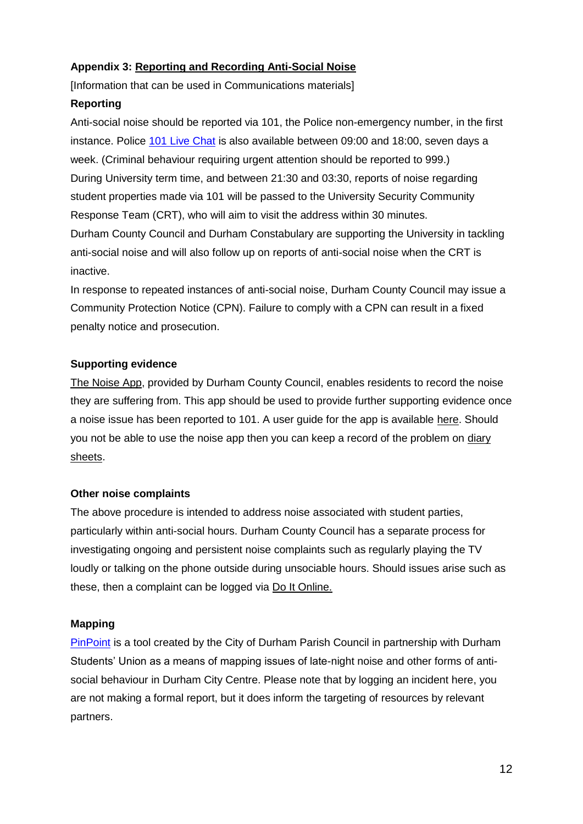# **Appendix 3: Reporting and Recording Anti-Social Noise**

[Information that can be used in Communications materials]

## **Reporting**

Anti-social noise should be reported via 101, the Police non-emergency number, in the first instance. Police [101 Live Chat](https://www.durham.police.uk/Report-It/101-Live-Chat/101-Live-Chat.aspx) is also available between 09:00 and 18:00, seven days a week. (Criminal behaviour requiring urgent attention should be reported to 999.) During University term time, and between 21:30 and 03:30, reports of noise regarding student properties made via 101 will be passed to the University Security Community Response Team (CRT), who will aim to visit the address within 30 minutes. Durham County Council and Durham Constabulary are supporting the University in tackling anti-social noise and will also follow up on reports of anti-social noise when the CRT is inactive.

In response to repeated instances of anti-social noise, Durham County Council may issue a Community Protection Notice (CPN). Failure to comply with a CPN can result in a fixed penalty notice and prosecution.

## **Supporting evidence**

[The Noise App,](https://www.thenoiseapp.com/#/) provided by Durham County Council, enables residents to record the noise they are suffering from. This app should be used to provide further supporting evidence once a noise issue has been reported to 101. A user guide for the app is available [here.](https://www.durham.gov.uk/media/28479/Noise-App-User-Guide/pdf/NoiseAppUserGuide_.pdf?m=637552835075570000) Should you not be able to use the noise app then you can keep a record of the problem on [diary](https://www.durham.gov.uk/media/28478/Noise-information-leaflet-and-diary-sheets/pdf/Noiseinformationleafletanddiarysheets.pdf?m=637552835078770000)  [sheets.](https://www.durham.gov.uk/media/28478/Noise-information-leaflet-and-diary-sheets/pdf/Noiseinformationleafletanddiarysheets.pdf?m=637552835078770000)

## **Other noise complaints**

The above procedure is intended to address noise associated with student parties, particularly within anti-social hours. Durham County Council has a separate process for investigating ongoing and persistent noise complaints such as regularly playing the TV loudly or talking on the phone outside during unsociable hours. Should issues arise such as these, then a complaint can be logged via [Do It Online.](https://doitonline.durham.gov.uk/en/AchieveForms/?form_uri=sandbox-publish://AF-Process-7832e163-00fa-4f00-90c1-73f6211bd7c4/AF-Stage-ff1c6688-75cd-4ed3-8f3b-e53a834ba036/definition.json&redirectlink=%2FService%2FServiceRating%3Fserviceid%3DAF-Process-7832e163-00fa-4f00-90c1-73f6211bd7c4%26service%3DR4%26postRatingRedirectUrl%3D%2Fmodule%2Fservices&cancelRedirectLink=%2F&category=AF-Category-a1630b7f-678e-4fe4-b9a6-1119d711be5c)

## **Mapping**

[PinPoint](https://docs.google.com/forms/d/e/1FAIpQLSfP6n3WZ0QVfEPUOzEUemZA-93f6lphSFNnRF9-wfD1lMXIzQ/viewform?embedded=true) is a tool created by the City of Durham Parish Council in partnership with Durham Students' Union as a means of mapping issues of late-night noise and other forms of antisocial behaviour in Durham City Centre. Please note that by logging an incident here, you are not making a formal report, but it does inform the targeting of resources by relevant partners.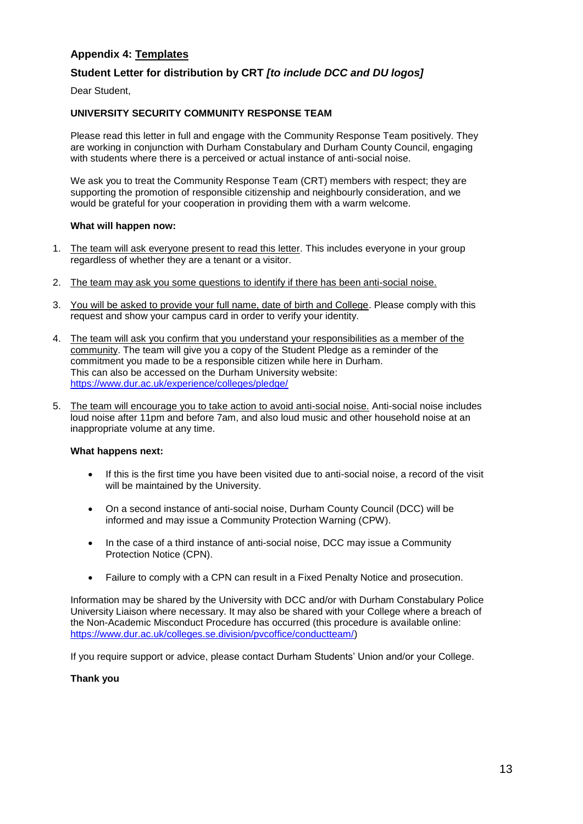### **Appendix 4: Templates**

### **Student Letter for distribution by CRT** *[to include DCC and DU logos]*

Dear Student,

#### **UNIVERSITY SECURITY COMMUNITY RESPONSE TEAM**

Please read this letter in full and engage with the Community Response Team positively. They are working in conjunction with Durham Constabulary and Durham County Council, engaging with students where there is a perceived or actual instance of anti-social noise.

We ask you to treat the Community Response Team (CRT) members with respect; they are supporting the promotion of responsible citizenship and neighbourly consideration, and we would be grateful for your cooperation in providing them with a warm welcome.

#### **What will happen now:**

- 1. The team will ask everyone present to read this letter. This includes everyone in your group regardless of whether they are a tenant or a visitor.
- 2. The team may ask you some questions to identify if there has been anti-social noise.
- 3. You will be asked to provide your full name, date of birth and College. Please comply with this request and show your campus card in order to verify your identity.
- 4. The team will ask you confirm that you understand your responsibilities as a member of the community. The team will give you a copy of the Student Pledge as a reminder of the commitment you made to be a responsible citizen while here in Durham. This can also be accessed on the Durham University website: <https://www.dur.ac.uk/experience/colleges/pledge/>
- 5. The team will encourage you to take action to avoid anti-social noise. Anti-social noise includes loud noise after 11pm and before 7am, and also loud music and other household noise at an inappropriate volume at any time.

#### **What happens next:**

- If this is the first time you have been visited due to anti-social noise, a record of the visit will be maintained by the University.
- On a second instance of anti-social noise, Durham County Council (DCC) will be informed and may issue a Community Protection Warning (CPW).
- In the case of a third instance of anti-social noise, DCC may issue a Community Protection Notice (CPN).
- Failure to comply with a CPN can result in a Fixed Penalty Notice and prosecution.

Information may be shared by the University with DCC and/or with Durham Constabulary Police University Liaison where necessary. It may also be shared with your College where a breach of the Non-Academic Misconduct Procedure has occurred (this procedure is available online: [https://www.dur.ac.uk/colleges.se.division/pvcoffice/conductteam/\)](https://www.dur.ac.uk/colleges.se.division/pvcoffice/conductteam/)

If you require support or advice, please contact Durham Students' Union and/or your College.

#### **Thank you**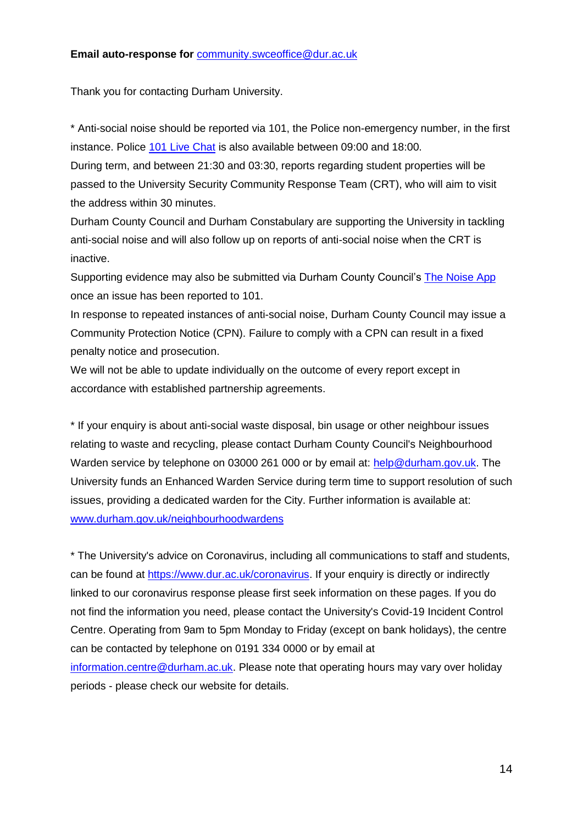Thank you for contacting Durham University.

\* Anti-social noise should be reported via 101, the Police non-emergency number, in the first instance. Police [101 Live Chat](https://www.durham.police.uk/Report-It/101-Live-Chat/101-Live-Chat.aspx) is also available between 09:00 and 18:00.

During term, and between 21:30 and 03:30, reports regarding student properties will be passed to the University Security Community Response Team (CRT), who will aim to visit the address within 30 minutes.

Durham County Council and Durham Constabulary are supporting the University in tackling anti-social noise and will also follow up on reports of anti-social noise when the CRT is inactive.

Supporting evidence may also be submitted via Durham County Council's [The Noise App](https://www.thenoiseapp.com/#/) once an issue has been reported to 101.

In response to repeated instances of anti-social noise, Durham County Council may issue a Community Protection Notice (CPN). Failure to comply with a CPN can result in a fixed penalty notice and prosecution.

We will not be able to update individually on the outcome of every report except in accordance with established partnership agreements.

\* If your enquiry is about anti-social waste disposal, bin usage or other neighbour issues relating to waste and recycling, please contact Durham County Council's Neighbourhood Warden service by telephone on 03000 261 000 or by email at: [help@durham.gov.uk.](mailto:help@durham.gov.uk) The University funds an Enhanced Warden Service during term time to support resolution of such issues, providing a dedicated warden for the City. Further information is available at: [www.durham.gov.uk/neighbourhoodwardens](http://www.durham.gov.uk/neighbourhoodwardens)

\* The University's advice on Coronavirus, including all communications to staff and students, can be found at [https://www.dur.ac.uk/coronavirus.](https://www.dur.ac.uk/coronavirus) If your enquiry is directly or indirectly linked to our coronavirus response please first seek information on these pages. If you do not find the information you need, please contact the University's Covid-19 Incident Control Centre. Operating from 9am to 5pm Monday to Friday (except on bank holidays), the centre can be contacted by telephone on 0191 334 0000 or by email at [information.centre@durham.ac.uk.](mailto:information.centre@durham.ac.uk) Please note that operating hours may vary over holiday periods - please check our website for details.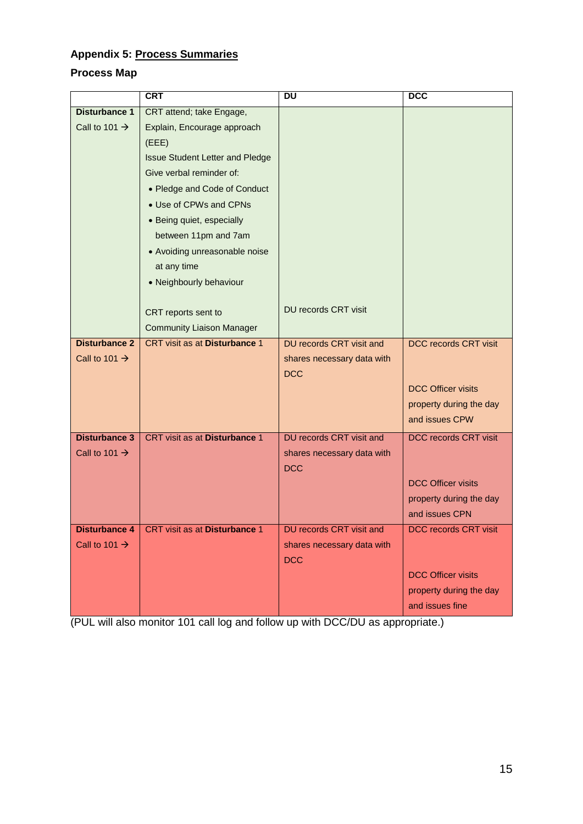# **Appendix 5: Process Summaries**

# **Process Map**

|                           | <b>CRT</b>                             | <b>DU</b>                  | <b>DCC</b>                   |
|---------------------------|----------------------------------------|----------------------------|------------------------------|
| <b>Disturbance 1</b>      | CRT attend; take Engage,               |                            |                              |
| Call to 101 $\rightarrow$ | Explain, Encourage approach            |                            |                              |
|                           | (EEE)                                  |                            |                              |
|                           | <b>Issue Student Letter and Pledge</b> |                            |                              |
|                           | Give verbal reminder of:               |                            |                              |
|                           | • Pledge and Code of Conduct           |                            |                              |
|                           | • Use of CPWs and CPNs                 |                            |                              |
|                           | • Being quiet, especially              |                            |                              |
|                           | between 11pm and 7am                   |                            |                              |
|                           | • Avoiding unreasonable noise          |                            |                              |
|                           | at any time                            |                            |                              |
|                           | • Neighbourly behaviour                |                            |                              |
|                           |                                        |                            |                              |
|                           | CRT reports sent to                    | DU records CRT visit       |                              |
|                           | <b>Community Liaison Manager</b>       |                            |                              |
| <b>Disturbance 2</b>      | CRT visit as at Disturbance 1          | DU records CRT visit and   | <b>DCC records CRT visit</b> |
| Call to 101 $\rightarrow$ |                                        | shares necessary data with |                              |
|                           |                                        | <b>DCC</b>                 |                              |
|                           |                                        |                            | <b>DCC Officer visits</b>    |
|                           |                                        |                            | property during the day      |
|                           |                                        |                            | and issues CPW               |
| <b>Disturbance 3</b>      | CRT visit as at Disturbance 1          | DU records CRT visit and   | DCC records CRT visit        |
| Call to 101 $\rightarrow$ |                                        | shares necessary data with |                              |
|                           |                                        | <b>DCC</b>                 |                              |
|                           |                                        |                            | <b>DCC Officer visits</b>    |
|                           |                                        |                            | property during the day      |
|                           |                                        |                            | and issues CPN               |
| <b>Disturbance 4</b>      | CRT visit as at Disturbance 1          | DU records CRT visit and   | DCC records CRT visit        |
| Call to 101 $\rightarrow$ |                                        | shares necessary data with |                              |
|                           |                                        | <b>DCC</b>                 |                              |
|                           |                                        |                            | <b>DCC Officer visits</b>    |
|                           |                                        |                            | property during the day      |
|                           |                                        |                            | and issues fine              |

(PUL will also monitor 101 call log and follow up with DCC/DU as appropriate.)